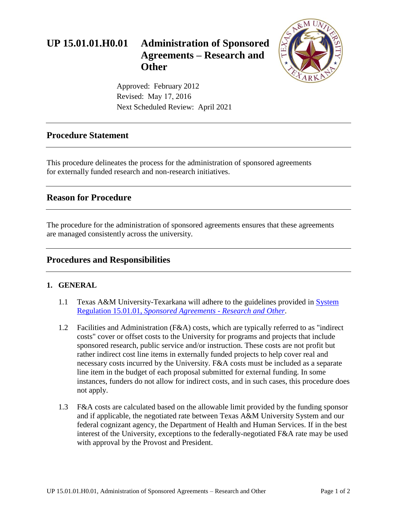# **UP 15.01.01.H0.01 Administration of Sponsored Agreements – Research and Other**



Approved: February 2012 Revised: May 17, 2016 Next Scheduled Review: April 2021

### **Procedure Statement**

This procedure delineates the process for the administration of sponsored agreements for externally funded research and non-research initiatives.

## **Reason for Procedure**

The procedure for the administration of sponsored agreements ensures that these agreements are managed consistently across the university.

## **Procedures and Responsibilities**

#### **1. GENERAL**

- 1.1 Texas A&M University-Texarkana will adhere to the guidelines provided in [System](http://policies.tamus.edu/15-01-01.pdf)  Regulation 15.01.01, *[Sponsored Agreements - Research and Other](http://policies.tamus.edu/15-01-01.pdf)*.
- 1.2 Facilities and Administration (F&A) costs, which are typically referred to as "indirect costs" cover or offset costs to the University for programs and projects that include sponsored research, public service and/or instruction. These costs are not profit but rather indirect cost line items in externally funded projects to help cover real and necessary costs incurred by the University. F&A costs must be included as a separate line item in the budget of each proposal submitted for external funding. In some instances, funders do not allow for indirect costs, and in such cases, this procedure does not apply.
- 1.3 F&A costs are calculated based on the allowable limit provided by the funding sponsor and if applicable, the negotiated rate between Texas A&M University System and our federal cognizant agency, the Department of Health and Human Services. If in the best interest of the University, exceptions to the federally-negotiated F&A rate may be used with approval by the Provost and President.